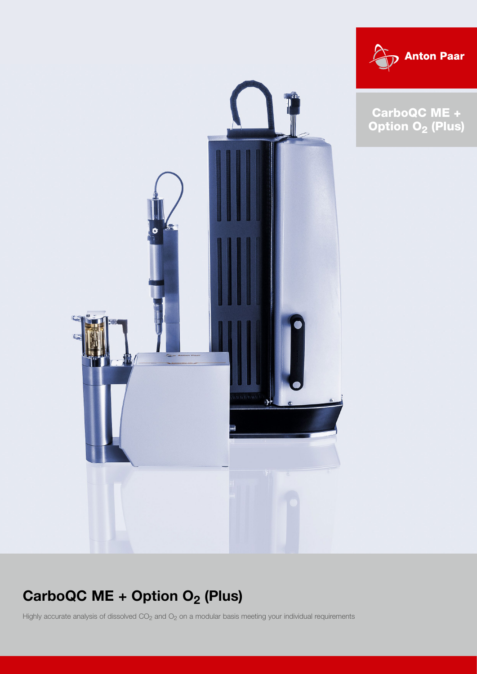



## CarboQC ME + Option O<sub>2</sub> (Plus)

## CarboQC ME + Option  $O_2$  (Plus)

Highly accurate analysis of dissolved  $CO<sub>2</sub>$  and  $O<sub>2</sub>$  on a modular basis meeting your individual requirements